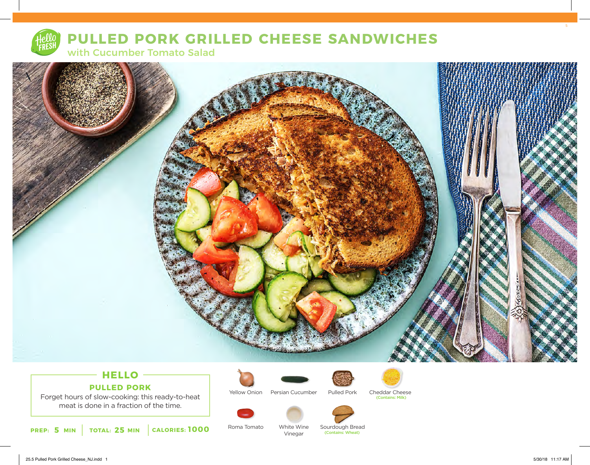

# **PULLED PORK GRILLED CHEESE SANDWICHES**

with Cucumber Tomato Salad



# **HELLO PULLED PORK**

Forget hours of slow-cooking: this ready-to-heat meat is done in a fraction of the time.



Yellow Onion

Roma Tomato



Persian Cucumber Pulled Pork Cheddar Cheese (Contains: Milk)



White Wine Vinegar

Sourdough Bread<br>(Contains: Wheat)

25.5 Pulled Pork Grilled Cheese\_NJ.indd 1 5/30/18 11:17 AM